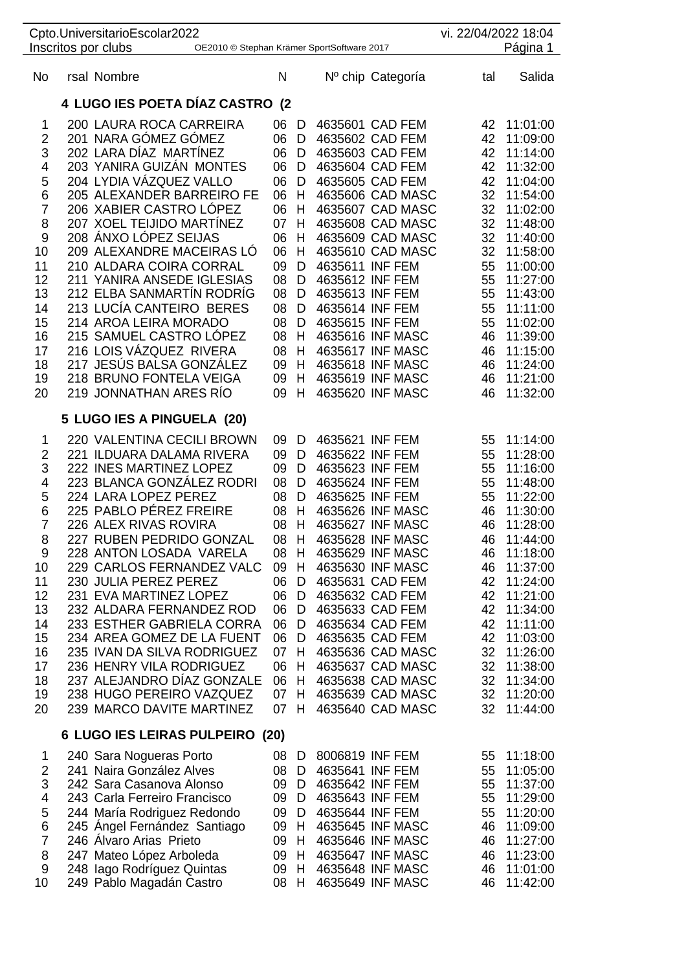|                                                                                                                                                | Cpto.UniversitarioEscolar2022<br>Inscritos por clubs                                                                                                                                                                                                                                                                                                                                                                                                                                                                                                                       | OE2010 © Stephan Krämer SportSoftware 2017 |                                                                                                                      |                                                                                                                        |                                                                                                                                                                                            |                                                                                                                                                                                                      | vi. 22/04/2022 18:04                                                                                                 | Página 1                                                                                                                                                                                                                                     |
|------------------------------------------------------------------------------------------------------------------------------------------------|----------------------------------------------------------------------------------------------------------------------------------------------------------------------------------------------------------------------------------------------------------------------------------------------------------------------------------------------------------------------------------------------------------------------------------------------------------------------------------------------------------------------------------------------------------------------------|--------------------------------------------|----------------------------------------------------------------------------------------------------------------------|------------------------------------------------------------------------------------------------------------------------|--------------------------------------------------------------------------------------------------------------------------------------------------------------------------------------------|------------------------------------------------------------------------------------------------------------------------------------------------------------------------------------------------------|----------------------------------------------------------------------------------------------------------------------|----------------------------------------------------------------------------------------------------------------------------------------------------------------------------------------------------------------------------------------------|
| No                                                                                                                                             | rsal Nombre                                                                                                                                                                                                                                                                                                                                                                                                                                                                                                                                                                |                                            | N                                                                                                                    |                                                                                                                        |                                                                                                                                                                                            | Nº chip Categoría                                                                                                                                                                                    | tal                                                                                                                  | Salida                                                                                                                                                                                                                                       |
|                                                                                                                                                | 4 LUGO IES POETA DÍAZ CASTRO (2                                                                                                                                                                                                                                                                                                                                                                                                                                                                                                                                            |                                            |                                                                                                                      |                                                                                                                        |                                                                                                                                                                                            |                                                                                                                                                                                                      |                                                                                                                      |                                                                                                                                                                                                                                              |
| 1<br>$\overline{\mathbf{c}}$<br>3<br>4<br>5<br>6<br>$\overline{7}$<br>8<br>9<br>10<br>11<br>12<br>13<br>14<br>15<br>16<br>17<br>18<br>19<br>20 | 200 LAURA ROCA CARREIRA<br>201 NARA GÓMEZ GÓMEZ<br>202 LARA DIAZ MARTINEZ<br>203 YANIRA GUIZAN MONTES<br>204 LYDIA VÁZQUEZ VALLO<br>205 ALEXANDER BARREIRO FE<br>206 XABIER CASTRO LÓPEZ<br>207 XOEL TEIJIDO MARTÍNEZ<br>208 ÁNXO LÓPEZ SEIJAS<br>209 ALEXANDRE MACEIRAS LÓ<br>210 ALDARA COIRA CORRAL<br>211 YANIRA ANSEDE IGLESIAS<br>212 ELBA SANMARTÍN RODRÍG<br>213 LUCÍA CANTEIRO BERES<br>214 AROA LEIRA MORADO<br>215 SAMUEL CASTRO LÓPEZ<br>216 LOIS VÁZQUEZ RIVERA<br>217 JESÚS BALSA GONZÁLEZ<br>218 BRUNO FONTELA VEIGA<br>219 JONNATHAN ARES RÍO              |                                            | 06<br>06<br>06<br>06<br>06<br>06<br>06<br>07<br>06<br>06<br>09<br>08<br>08<br>08<br>08<br>08<br>08<br>09<br>09<br>09 | D<br>D<br>D<br>D<br>D<br>Н<br>H<br>$\mathsf{H}$<br>H<br>H<br>D<br>D<br>D<br>D<br>D<br>Н<br>H<br>H<br>Н<br>$\mathsf{H}$ | 4635601 CAD FEM<br>4635602 CAD FEM<br>4635603 CAD FEM<br>4635604 CAD FEM<br>4635605 CAD FEM<br>4635611 INF FEM<br>4635612 INF FEM<br>4635613 INF FEM<br>4635614 INF FEM<br>4635615 INF FEM | 4635606 CAD MASC<br>4635607 CAD MASC<br>4635608 CAD MASC<br>4635609 CAD MASC<br>4635610 CAD MASC<br>4635616 INF MASC<br>4635617 INF MASC<br>4635618 INF MASC<br>4635619 INF MASC<br>4635620 INF MASC | 42<br>42<br>42<br>42<br>42<br>32<br>32<br>32<br>32<br>32<br>55<br>55<br>55<br>55<br>55<br>46<br>46<br>46<br>46<br>46 | 11:01:00<br>11:09:00<br>11:14:00<br>11:32:00<br>11:04:00<br>11:54:00<br>11:02:00<br>11:48:00<br>11:40:00<br>11:58:00<br>11:00:00<br>11:27:00<br>11:43:00<br>11:11:00<br>11:02:00<br>11:39:00<br>11:15:00<br>11:24:00<br>11:21:00<br>11:32:00 |
|                                                                                                                                                | 5 LUGO IES A PINGUELA (20)                                                                                                                                                                                                                                                                                                                                                                                                                                                                                                                                                 |                                            |                                                                                                                      |                                                                                                                        |                                                                                                                                                                                            |                                                                                                                                                                                                      |                                                                                                                      |                                                                                                                                                                                                                                              |
| 1<br>$\overline{\mathbf{c}}$<br>3<br>4<br>5<br>6<br>$\overline{7}$<br>8<br>9<br>10<br>11<br>12<br>13<br>14<br>15<br>16<br>17<br>18<br>19<br>20 | 220 VALENTINA CECILI BROWN<br>221 ILDUARA DALAMA RIVERA<br>222 INES MARTINEZ LOPEZ<br>223 BLANCA GONZÁLEZ RODRI<br>224 LARA LOPEZ PEREZ<br>225 PABLO PÉREZ FREIRE<br>226 ALEX RIVAS ROVIRA<br>227 RUBEN PEDRIDO GONZAL<br>228 ANTON LOSADA VARELA<br>229 CARLOS FERNANDEZ VALC<br>230 JULIA PEREZ PEREZ<br>231 EVA MARTINEZ LOPEZ<br>232 ALDARA FERNANDEZ ROD<br>233 ESTHER GABRIELA CORRA<br>234 AREA GOMEZ DE LA FUENT<br>235 IVAN DA SILVA RODRIGUEZ<br>236 HENRY VILA RODRIGUEZ<br>237 ALEJANDRO DÍAZ GONZALE<br>238 HUGO PEREIRO VAZQUEZ<br>239 MARCO DAVITE MARTINEZ |                                            | 09<br>09<br>09<br>08<br>08<br>08<br>08<br>08<br>08<br>09<br>06<br>06<br>06<br>06<br>06<br>07<br>06<br>06<br>07<br>07 | D<br>D<br>D<br>D<br>D<br>Η<br>Н<br>Н<br>- H<br>H<br>D<br>D<br>D<br>D<br>D<br>Н<br>H<br>H<br>H<br>Н                     | 4635621 INF FEM<br>4635622 INF FEM<br>4635623 INF FEM<br>4635624 INF FEM<br>4635625 INF FEM<br>4635631 CAD FEM<br>4635632 CAD FEM<br>4635633 CAD FEM<br>4635634 CAD FEM<br>4635635 CAD FEM | 4635626 INF MASC<br>4635627 INF MASC<br>4635628 INF MASC<br>4635629 INF MASC<br>4635630 INF MASC<br>4635636 CAD MASC<br>4635637 CAD MASC<br>4635638 CAD MASC<br>4635639 CAD MASC<br>4635640 CAD MASC | 55<br>55<br>55<br>55<br>55<br>46<br>46<br>46<br>46<br>46<br>42<br>42<br>42<br>42<br>42<br>32<br>32<br>32<br>32<br>32 | 11:14:00<br>11:28:00<br>11:16:00<br>11:48:00<br>11:22:00<br>11:30:00<br>11:28:00<br>11:44:00<br>11:18:00<br>11:37:00<br>11:24:00<br>11:21:00<br>11:34:00<br>11:11:00<br>11:03:00<br>11:26:00<br>11:38:00<br>11:34:00<br>11:20:00<br>11:44:00 |
|                                                                                                                                                | 6 LUGO IES LEIRAS PULPEIRO (20)                                                                                                                                                                                                                                                                                                                                                                                                                                                                                                                                            |                                            |                                                                                                                      |                                                                                                                        |                                                                                                                                                                                            |                                                                                                                                                                                                      |                                                                                                                      |                                                                                                                                                                                                                                              |
| 1<br>$\overline{c}$<br>3<br>4<br>5<br>6<br>7<br>8<br>9<br>10                                                                                   | 240 Sara Nogueras Porto<br>241 Naira González Alves<br>242 Sara Casanova Alonso<br>243 Carla Ferreiro Francisco<br>244 María Rodriguez Redondo<br>245 Angel Fernández Santiago<br>246 Alvaro Arias Prieto<br>247 Mateo López Arboleda<br>248 Iago Rodríguez Quintas<br>249 Pablo Magadán Castro                                                                                                                                                                                                                                                                            |                                            | 08<br>08<br>09<br>09<br>09<br>09<br>09<br>09<br>09<br>08                                                             | D<br>D<br>D<br>D<br>D<br>H<br>H<br>H<br>H<br>H                                                                         | 8006819 INF FEM<br>4635641 INF FEM<br>4635642 INF FEM<br>4635643 INF FEM<br>4635644 INF FEM                                                                                                | 4635645 INF MASC<br>4635646 INF MASC<br>4635647 INF MASC<br>4635648 INF MASC<br>4635649 INF MASC                                                                                                     | 55<br>55<br>55<br>55<br>55<br>46<br>46<br>46<br>46<br>46                                                             | 11:18:00<br>11:05:00<br>11:37:00<br>11:29:00<br>11:20:00<br>11:09:00<br>11:27:00<br>11:23:00<br>11:01:00<br>11:42:00                                                                                                                         |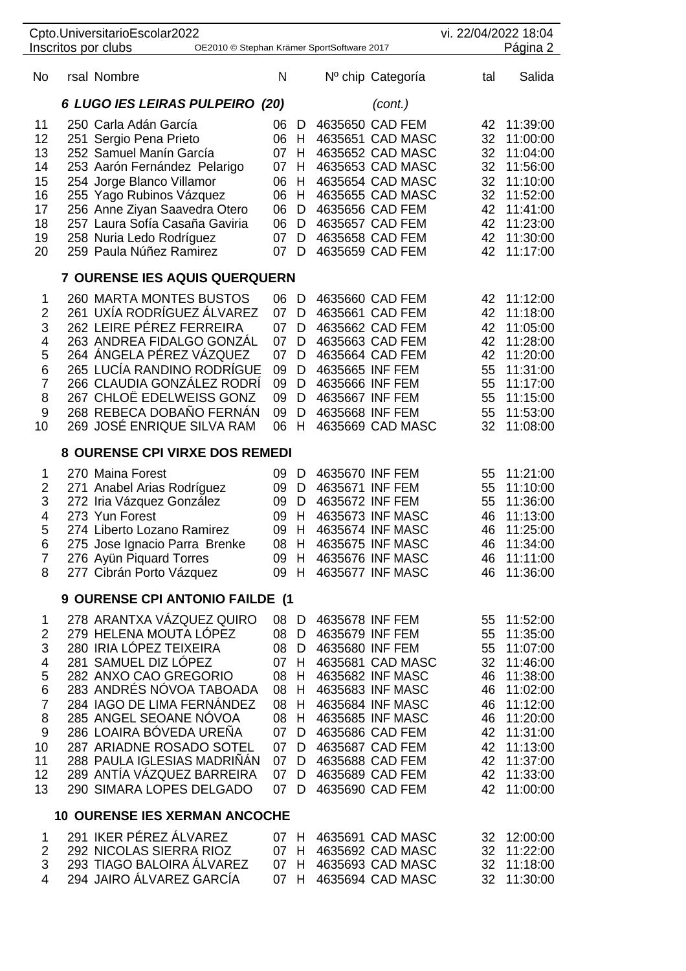|                                                                                             | Cpto.UniversitarioEscolar2022<br>Inscritos por clubs                                                                                                                                                                                                                                                                                                                |                                                                                  |                                                  | OE2010 © Stephan Krämer SportSoftware 2017                                                                                                                                                                                                               | vi. 22/04/2022 18:04                                                       | Página 2                                                                                                                                                 |
|---------------------------------------------------------------------------------------------|---------------------------------------------------------------------------------------------------------------------------------------------------------------------------------------------------------------------------------------------------------------------------------------------------------------------------------------------------------------------|----------------------------------------------------------------------------------|--------------------------------------------------|----------------------------------------------------------------------------------------------------------------------------------------------------------------------------------------------------------------------------------------------------------|----------------------------------------------------------------------------|----------------------------------------------------------------------------------------------------------------------------------------------------------|
| No                                                                                          | rsal Nombre                                                                                                                                                                                                                                                                                                                                                         | N                                                                                |                                                  | Nº chip Categoría                                                                                                                                                                                                                                        | tal                                                                        | Salida                                                                                                                                                   |
|                                                                                             | 6 LUGO IES LEIRAS PULPEIRO (20)                                                                                                                                                                                                                                                                                                                                     |                                                                                  |                                                  | (cont.)                                                                                                                                                                                                                                                  |                                                                            |                                                                                                                                                          |
| 11<br>12<br>13<br>14<br>15<br>16<br>17<br>18<br>19<br>20                                    | 250 Carla Adán García<br>251 Sergio Pena Prieto<br>252 Samuel Manín García<br>253 Aarón Fernández Pelarigo<br>254 Jorge Blanco Villamor<br>255 Yago Rubinos Vázquez<br>256 Anne Ziyan Saavedra Otero<br>257 Laura Sofía Casaña Gaviria<br>258 Nuria Ledo Rodríguez<br>259 Paula Núñez Ramirez                                                                       | 06<br>06<br>07<br>07<br>06<br>06<br>06<br>06<br>07 D<br>07                       | D<br>H<br>H<br>н<br>H<br>H<br>D<br>D<br>D        | 4635650 CAD FEM<br>4635651 CAD MASC<br>4635652 CAD MASC<br>4635653 CAD MASC<br>4635654 CAD MASC<br>4635655 CAD MASC<br>4635656 CAD FEM<br>4635657 CAD FEM<br>4635658 CAD FEM<br>4635659 CAD FEM                                                          | 42<br>32<br>32<br>32<br>32<br>32<br>42<br>42<br>42<br>42                   | 11:39:00<br>11:00:00<br>11:04:00<br>11:56:00<br>11:10:00<br>11:52:00<br>11:41:00<br>11:23:00<br>11:30:00<br>11:17:00                                     |
|                                                                                             | 7 OURENSE IES AQUIS QUERQUERN                                                                                                                                                                                                                                                                                                                                       |                                                                                  |                                                  |                                                                                                                                                                                                                                                          |                                                                            |                                                                                                                                                          |
| 1<br>$\overline{2}$<br>3<br>4<br>5<br>6<br>$\overline{7}$<br>8<br>9<br>10                   | <b>260 MARTA MONTES BUSTOS</b><br>261 UXIA RODRIGUEZ ALVAREZ<br>262 LEIRE PÉREZ FERREIRA<br>263 ANDREA FIDALGO GONZÁL<br>264 ÁNGELA PÉREZ VÁZQUEZ<br>265 LUCÍA RANDINO RODRÍGUE<br>266 CLAUDIA GONZÁLEZ RODRÍ<br>267 CHLOË EDELWEISS GONZ<br>268 REBECA DOBAÑO FERNÁN<br>269 JOSÉ ENRIQUE SILVA RAM                                                                 | 06<br>07<br>07<br>07<br>07<br>09<br>09<br>09<br>09<br>06                         | D<br>D<br>D<br>D<br>D<br>D<br>D<br>D<br>D<br>H   | 4635660 CAD FEM<br>4635661 CAD FEM<br>4635662 CAD FEM<br>4635663 CAD FEM<br>4635664 CAD FEM<br>4635665 INF FEM<br>4635666 INF FEM<br>4635667 INF FEM<br>4635668 INF FEM<br>4635669 CAD MASC                                                              | 42<br>42<br>42<br>42<br>42<br>55<br>55<br>55<br>55<br>32                   | 11:12:00<br>11:18:00<br>11:05:00<br>11:28:00<br>11:20:00<br>11:31:00<br>11:17:00<br>11:15:00<br>11:53:00<br>11:08:00                                     |
|                                                                                             | 8 OURENSE CPI VIRXE DOS REMEDI                                                                                                                                                                                                                                                                                                                                      |                                                                                  |                                                  |                                                                                                                                                                                                                                                          |                                                                            |                                                                                                                                                          |
| 1<br>$\overline{c}$<br>3<br>4<br>5<br>6<br>7<br>8                                           | 270 Maina Forest<br>271 Anabel Arias Rodríguez<br>272 Iria Vázquez González<br>273 Yun Forest<br>274 Liberto Lozano Ramirez<br>275 Jose Ignacio Parra Brenke<br>276 Ayün Piquard Torres<br>277 Cibrán Porto Vázquez                                                                                                                                                 | 09<br>09<br>09<br>09<br>09<br>08 H<br>09 H<br>09                                 | D<br>D<br>D<br>H<br>H<br>H                       | 4635670 INF FEM<br>4635671 INF FEM<br>4635672 INF FEM<br>4635673 INF MASC<br>4635674 INF MASC<br>4635675 INF MASC<br>4635676 INF MASC<br>4635677 INF MASC                                                                                                | 55<br>55<br>55<br>46<br>46<br>46<br>46                                     | 11:21:00<br>11:10:00<br>11:36:00<br>11:13:00<br>11:25:00<br>46 11:34:00<br>11:11:00<br>11:36:00                                                          |
|                                                                                             | 9 OURENSE CPI ANTONIO FAILDE (1                                                                                                                                                                                                                                                                                                                                     |                                                                                  |                                                  |                                                                                                                                                                                                                                                          |                                                                            |                                                                                                                                                          |
| 1<br>$\overline{2}$<br>3<br>4<br>5<br>6<br>$\overline{7}$<br>8<br>9<br>10<br>11<br>12<br>13 | 278 ARANTXA VÁZQUEZ QUIRO<br>279 HELENA MOUTA LÓPEZ<br>280 IRIA LÓPEZ TEIXEIRA<br>281 SAMUEL DIZ LÓPEZ<br>282 ANXO CAO GREGORIO<br>283 ANDRÉS NÓVOA TABOADA<br>284 IAGO DE LIMA FERNÁNDEZ<br>285 ANGEL SEOANE NÓVOA<br>286 LOAIRA BÓVEDA UREÑA<br>287 ARIADNE ROSADO SOTEL<br>288 PAULA IGLESIAS MADRIÑAN<br>289 ANTIA VAZQUEZ BARREIRA<br>290 SIMARA LOPES DELGADO | 08 D<br>08 D<br>08<br>07 H<br>08<br>08<br>08<br>08<br>07<br>07<br>07<br>07<br>07 | - D<br>H<br>H<br>H<br>H<br>D<br>D<br>D<br>D<br>D | 4635678 INF FEM<br>4635679 INF FEM<br>4635680 INF FEM<br>4635681 CAD MASC<br>4635682 INF MASC<br>4635683 INF MASC<br>4635684 INF MASC<br>4635685 INF MASC<br>4635686 CAD FEM<br>4635687 CAD FEM<br>4635688 CAD FEM<br>4635689 CAD FEM<br>4635690 CAD FEM | 55<br>55<br>55<br>32<br>46<br>46<br>46<br>46<br>42<br>42<br>42<br>42<br>42 | 11:52:00<br>11:35:00<br>11:07:00<br>11:46:00<br>11:38:00<br>11:02:00<br>11:12:00<br>11:20:00<br>11:31:00<br>11:13:00<br>11:37:00<br>11:33:00<br>11:00:00 |
|                                                                                             | <b>10 OURENSE IES XERMAN ANCOCHE</b>                                                                                                                                                                                                                                                                                                                                |                                                                                  |                                                  |                                                                                                                                                                                                                                                          |                                                                            |                                                                                                                                                          |
| 1<br>2<br>3<br>4                                                                            | 291 IKER PÉREZ ÁLVAREZ<br>292 NICOLAS SIERRA RIOZ<br>293 TIAGO BALOIRA ALVAREZ<br>294 JAIRO ÁLVAREZ GARCÍA                                                                                                                                                                                                                                                          | 07 H<br>07<br>07<br>07                                                           | H<br>H<br>Н                                      | 4635691 CAD MASC<br>4635692 CAD MASC<br>4635693 CAD MASC<br>4635694 CAD MASC                                                                                                                                                                             | 32<br>32<br>32<br>32                                                       | 12:00:00<br>11:22:00<br>11:18:00<br>11:30:00                                                                                                             |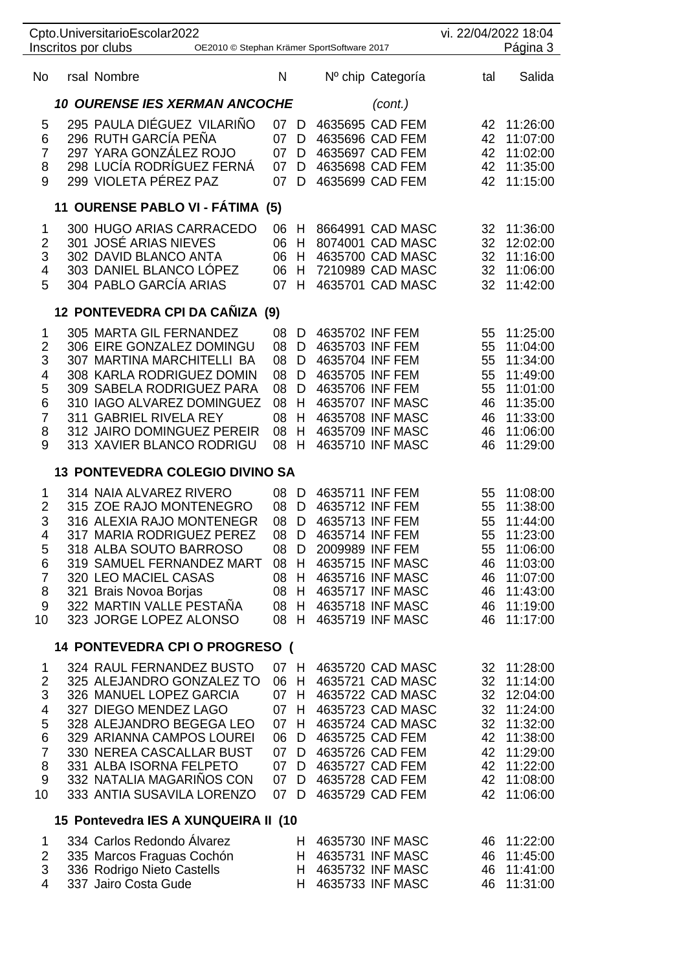|                                                                           | Cpto.UniversitarioEscolar2022<br>Inscritos por clubs                                                                                                                                                                                                                                 | OE2010 © Stephan Krämer SportSoftware 2017 |                                                                      |                                           |                                                                                             |                                                                                                                                                                                                 | vi. 22/04/2022 18:04                                                  | Página 3                                                                                                             |
|---------------------------------------------------------------------------|--------------------------------------------------------------------------------------------------------------------------------------------------------------------------------------------------------------------------------------------------------------------------------------|--------------------------------------------|----------------------------------------------------------------------|-------------------------------------------|---------------------------------------------------------------------------------------------|-------------------------------------------------------------------------------------------------------------------------------------------------------------------------------------------------|-----------------------------------------------------------------------|----------------------------------------------------------------------------------------------------------------------|
| No                                                                        | rsal Nombre                                                                                                                                                                                                                                                                          |                                            | N                                                                    |                                           |                                                                                             | Nº chip Categoría                                                                                                                                                                               | tal                                                                   | Salida                                                                                                               |
|                                                                           | <b>10 OURENSE IES XERMAN ANCOCHE</b>                                                                                                                                                                                                                                                 |                                            |                                                                      |                                           |                                                                                             | (cont.)                                                                                                                                                                                         |                                                                       |                                                                                                                      |
| 5<br>6<br>$\overline{7}$<br>8<br>9                                        | 295 PAULA DIÉGUEZ VILARIÑO<br>296 RUTH GARCÍA PEÑA<br>297 YARA GONZÁLEZ ROJO<br>298 LUCÍA RODRÍGUEZ FERNÁ<br>299 VIOLETA PÉREZ PAZ                                                                                                                                                   |                                            | 07 D<br>07<br>07<br>07<br>07                                         | D<br>D<br>D<br>D                          |                                                                                             | 4635695 CAD FEM<br>4635696 CAD FEM<br>4635697 CAD FEM<br>4635698 CAD FEM<br>4635699 CAD FEM                                                                                                     | 42<br>42<br>42<br>42<br>42                                            | 11:26:00<br>11:07:00<br>11:02:00<br>11:35:00<br>11:15:00                                                             |
|                                                                           | 11 OURENSE PABLO VI - FÁTIMA (5)                                                                                                                                                                                                                                                     |                                            |                                                                      |                                           |                                                                                             |                                                                                                                                                                                                 |                                                                       |                                                                                                                      |
| 1<br>$\overline{c}$<br>3<br>4<br>5                                        | 300 HUGO ARIAS CARRACEDO<br>301 JOSÉ ARIAS NIEVES<br>302 DAVID BLANCO ANTA<br>303 DANIEL BLANCO LÓPEZ<br>304 PABLO GARCÍA ARIAS                                                                                                                                                      |                                            | 06<br>06<br>06<br>06<br>07                                           | - H<br>H<br>H<br>H<br>H                   |                                                                                             | 8664991 CAD MASC<br>8074001 CAD MASC<br>4635700 CAD MASC<br>7210989 CAD MASC<br>4635701 CAD MASC                                                                                                | 32<br>32<br>32<br>32<br>32                                            | 11:36:00<br>12:02:00<br>11:16:00<br>11:06:00<br>11:42:00                                                             |
|                                                                           | 12 PONTEVEDRA CPI DA CAÑIZA (9)                                                                                                                                                                                                                                                      |                                            |                                                                      |                                           |                                                                                             |                                                                                                                                                                                                 |                                                                       |                                                                                                                      |
| 1<br>$\overline{c}$<br>3<br>4<br>5<br>6<br>$\overline{7}$<br>8<br>9       | 305 MARTA GIL FERNANDEZ<br>306 EIRE GONZALEZ DOMINGU<br>307 MARTINA MARCHITELLI BA<br>308 KARLA RODRIGUEZ DOMIN<br>309 SABELA RODRIGUEZ PARA<br>310 IAGO ALVAREZ DOMINGUEZ<br>311 GABRIEL RIVELA REY<br>312 JAIRO DOMINGUEZ PEREIR<br>313 XAVIER BLANCO RODRIGU                      |                                            | 08<br>08<br>08<br>08<br>08<br>08<br>08<br>08<br>08                   | D<br>D<br>D<br>D<br>D<br>Η<br>H<br>H<br>H | 4635702 INF FEM<br>4635703 INF FEM<br>4635704 INF FEM<br>4635705 INF FEM<br>4635706 INF FEM | 4635707 INF MASC<br>4635708 INF MASC<br>4635709 INF MASC<br>4635710 INF MASC                                                                                                                    | 55<br>55<br>55<br>55<br>55<br>46<br>46<br>46<br>46                    | 11:25:00<br>11:04:00<br>11:34:00<br>11:49:00<br>11:01:00<br>11:35:00<br>11:33:00<br>11:06:00<br>11:29:00             |
|                                                                           | <b>13 PONTEVEDRA COLEGIO DIVINO SA</b>                                                                                                                                                                                                                                               |                                            |                                                                      |                                           |                                                                                             |                                                                                                                                                                                                 |                                                                       |                                                                                                                      |
| 1<br>$\overline{2}$<br>3<br>4<br>5<br>6<br>$\overline{7}$<br>8<br>9<br>10 | 314 NAIA ALVAREZ RIVERO<br>315 ZOE RAJO MONTENEGRO<br>316 ALEXIA RAJO MONTENEGR<br>317 MARIA RODRIGUEZ PEREZ<br>318 ALBA SOUTO BARROSO<br>319 SAMUEL FERNANDEZ MART<br>320 LEO MACIEL CASAS<br>321 Brais Novoa Borjas<br>322 MARTIN VALLE PESTAÑA<br>323 JORGE LOPEZ ALONSO          |                                            | 08<br>08<br>08<br>08<br>08 D<br>08 H<br>08 H<br>08 H<br>08<br>08     | D<br>D<br>D<br>D<br>H<br>H                | 4635711 INF FEM<br>4635712 INF FEM<br>4635713 INF FEM<br>4635714 INF FEM<br>2009989 INF FEM | 4635715 INF MASC<br>4635716 INF MASC<br>4635717 INF MASC<br>4635718 INF MASC<br>4635719 INF MASC                                                                                                | 55<br>55<br>55<br>55<br>55<br>46<br>46<br>46<br>46<br>46              | 11:08:00<br>11:38:00<br>11:44:00<br>11:23:00<br>11:06:00<br>11:03:00<br>11:07:00<br>11:43:00<br>11:19:00<br>11:17:00 |
|                                                                           | 14 PONTEVEDRA CPI O PROGRESO (                                                                                                                                                                                                                                                       |                                            |                                                                      |                                           |                                                                                             |                                                                                                                                                                                                 |                                                                       |                                                                                                                      |
| 1<br>$\overline{2}$<br>3<br>4<br>5<br>6<br>$\overline{7}$<br>8<br>9<br>10 | 324 RAUL FERNANDEZ BUSTO<br>325 ALEJANDRO GONZALEZ TO<br>326 MANUEL LOPEZ GARCIA<br>327 DIEGO MENDEZ LAGO<br>328 ALEJANDRO BEGEGA LEO<br>329 ARIANNA CAMPOS LOUREI<br>330 NEREA CASCALLAR BUST<br>331 ALBA ISORNA FELPETO<br>332 NATALIA MAGARINOS CON<br>333 ANTIA SUSAVILA LORENZO |                                            | 07 H<br>06 H<br>07 H<br>07 H<br>07 H<br>06<br>07 D<br>07<br>07<br>07 | D<br>D<br>D<br>D                          |                                                                                             | 4635720 CAD MASC<br>4635721 CAD MASC<br>4635722 CAD MASC<br>4635723 CAD MASC<br>4635724 CAD MASC<br>4635725 CAD FEM<br>4635726 CAD FEM<br>4635727 CAD FEM<br>4635728 CAD FEM<br>4635729 CAD FEM | 32 <sub>2</sub><br>32<br>32<br>32<br>32<br>42<br>42<br>42<br>42<br>42 | 11:28:00<br>11:14:00<br>12:04:00<br>11:24:00<br>11:32:00<br>11:38:00<br>11:29:00<br>11:22:00<br>11:08:00<br>11:06:00 |
|                                                                           | 15 Pontevedra IES A XUNQUEIRA II (10                                                                                                                                                                                                                                                 |                                            |                                                                      |                                           |                                                                                             |                                                                                                                                                                                                 |                                                                       |                                                                                                                      |
| 1<br>$\overline{2}$<br>3<br>4                                             | 334 Carlos Redondo Álvarez<br>335 Marcos Fraguas Cochón<br>336 Rodrigo Nieto Castells<br>337 Jairo Costa Gude                                                                                                                                                                        |                                            |                                                                      | Н<br>Н<br>н                               |                                                                                             | H 4635730 INF MASC<br>4635731 INF MASC<br>4635732 INF MASC<br>4635733 INF MASC                                                                                                                  | 46<br>46<br>46<br>46                                                  | 11:22:00<br>11:45:00<br>11:41:00<br>11:31:00                                                                         |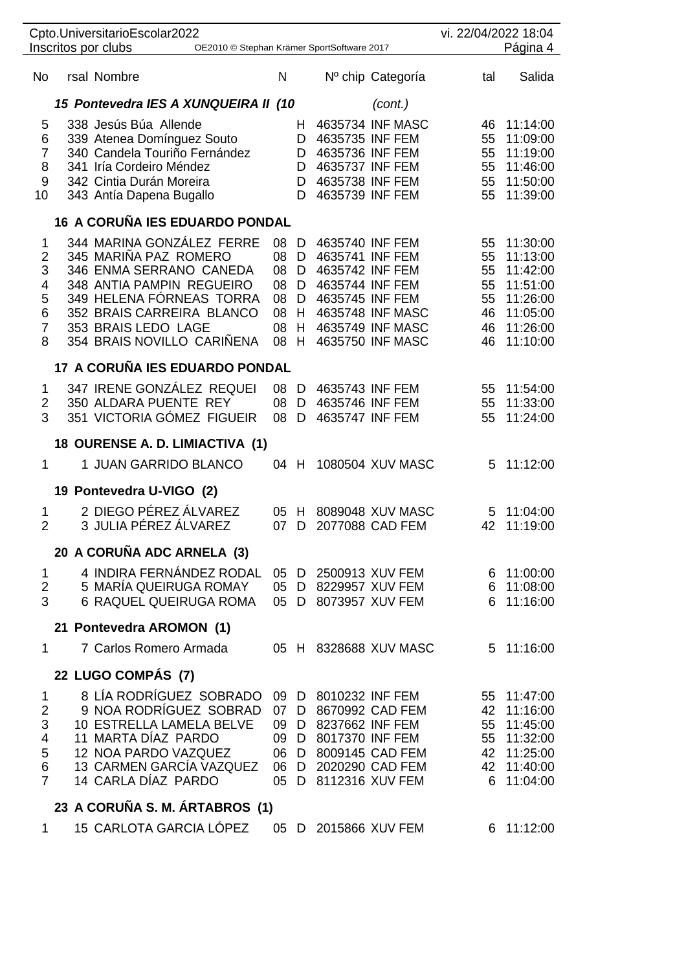|                                       |                                                 | Cpto.UniversitarioEscolar2022                        |                                            |              |        |                                    |                                              | vi. 22/04/2022 18:04 |                          |
|---------------------------------------|-------------------------------------------------|------------------------------------------------------|--------------------------------------------|--------------|--------|------------------------------------|----------------------------------------------|----------------------|--------------------------|
|                                       |                                                 | Inscritos por clubs                                  | OE2010 © Stephan Krämer SportSoftware 2017 |              |        |                                    |                                              |                      | Página 4                 |
| No                                    |                                                 | rsal Nombre                                          |                                            | N            |        |                                    | Nº chip Categoría                            | tal                  | Salida                   |
|                                       | 15 Pontevedra IES A XUNQUEIRA II (10<br>(cont.) |                                                      |                                            |              |        |                                    |                                              |                      |                          |
| 5<br>6                                |                                                 | 338 Jesús Búa Allende<br>339 Atenea Domínguez Souto  |                                            |              | H<br>D | 4635735 INF FEM                    | 4635734 INF MASC                             | 46<br>55             | 11:14:00<br>11:09:00     |
| $\overline{7}$                        |                                                 | 340 Candela Touriño Fernández                        |                                            |              | D      | 4635736 INF FEM                    |                                              | 55                   | 11:19:00                 |
| 8                                     |                                                 | 341 Iría Cordeiro Méndez                             |                                            |              | D      | 4635737 INF FEM<br>4635738 INF FEM |                                              | 55                   | 11:46:00                 |
| 9<br>10                               |                                                 | 342 Cintia Durán Moreira<br>343 Antía Dapena Bugallo |                                            |              | D<br>D | 4635739 INF FEM                    |                                              | 55<br>55             | 11:50:00<br>11:39:00     |
| <b>16 A CORUÑA IES EDUARDO PONDAL</b> |                                                 |                                                      |                                            |              |        |                                    |                                              |                      |                          |
| 1                                     |                                                 | 344 MARINA GONZÁLEZ FERRE                            |                                            | 08           | D      | 4635740 INF FEM                    |                                              | 55                   | 11:30:00                 |
| $\overline{\mathbf{c}}$<br>3          |                                                 | 345 MARIÑA PAZ ROMERO<br>346 ENMA SERRANO CANEDA     |                                            | 08<br>08     | D<br>D | 4635741 INF FEM<br>4635742 INF FEM |                                              | 55<br>55             | 11:13:00<br>11:42:00     |
| 4                                     |                                                 | 348 ANTIA PAMPIN REGUEIRO                            |                                            | 08           | D      | 4635744 INF FEM                    |                                              | 55                   | 11:51:00                 |
| 5                                     |                                                 | 349 HELENA FÓRNEAS TORRA                             |                                            | 08           | D      | 4635745 INF FEM                    |                                              | 55                   | 11:26:00                 |
| 6<br>$\overline{7}$                   |                                                 | 352 BRAIS CARREIRA BLANCO<br>353 BRAIS LEDO LAGE     |                                            | 08<br>08     | H<br>H |                                    | 4635748 INF MASC<br>4635749 INF MASC         | 46<br>46             | 11:05:00<br>11:26:00     |
| 8                                     |                                                 | 354 BRAIS NOVILLO CARIÑENA                           |                                            | 08           | H      |                                    | 4635750 INF MASC                             | 46                   | 11:10:00                 |
|                                       |                                                 | 17 A CORUÑA IES EDUARDO PONDAL                       |                                            |              |        |                                    |                                              |                      |                          |
| 1                                     |                                                 | 347 IRENE GONZÁLEZ REQUEI                            |                                            | 08 D         |        | 4635743 INF FEM                    |                                              | 55                   | 11:54:00                 |
| $\overline{2}$<br>3                   |                                                 | 350 ALDARA PUENTE REY<br>351 VICTORIA GÓMEZ FIGUEIR  |                                            | 08<br>08     | D<br>D | 4635746 INF FEM<br>4635747 INF FEM |                                              | 55<br>55             | 11:33:00<br>11:24:00     |
|                                       |                                                 | 18 OURENSE A. D. LIMIACTIVA (1)                      |                                            |              |        |                                    |                                              |                      |                          |
| 1                                     |                                                 | 1 JUAN GARRIDO BLANCO                                |                                            | 04 H         |        |                                    | 1080504 XUV MASC                             | 5                    | 11:12:00                 |
|                                       |                                                 | 19 Pontevedra U-VIGO (2)                             |                                            |              |        |                                    |                                              |                      |                          |
| 1                                     |                                                 | 2 DIEGO PÉREZ ÁLVAREZ<br>3 JULIA PÉREZ ÁLVAREZ       |                                            | 05 H         |        |                                    | 8089048 XUV MASC                             | 5                    | 11:04:00                 |
| $\overline{2}$                        |                                                 |                                                      |                                            | 07           | D      |                                    | 2077088 CAD FEM                              | 42                   | 11:19:00                 |
|                                       |                                                 | 20 A CORUÑA ADC ARNELA (3)                           |                                            |              |        |                                    |                                              |                      |                          |
| 1<br>$\overline{2}$                   |                                                 | 4 INDIRA FERNÁNDEZ RODAL<br>5 MARÍA QUEIRUGA ROMAY   |                                            |              |        |                                    | 05 D 2500913 XUV FEM<br>05 D 8229957 XUV FEM |                      | 6 11:00:00<br>6 11:08:00 |
| 3                                     |                                                 | 6 RAQUEL QUEIRUGA ROMA                               |                                            |              |        |                                    | 05 D 8073957 XUV FEM                         |                      | 6 11:16:00               |
|                                       |                                                 | 21 Pontevedra AROMON (1)                             |                                            |              |        |                                    |                                              |                      |                          |
| $\mathbf{1}$                          |                                                 | 7 Carlos Romero Armada                               |                                            |              |        |                                    | 05 H 8328688 XUV MASC                        |                      | 5 11:16:00               |
|                                       |                                                 | 22 LUGO COMPÁS (7)                                   |                                            |              |        |                                    |                                              |                      |                          |
| 1                                     |                                                 | 8 LÍA RODRÍGUEZ SOBRADO                              |                                            | 09 D         |        | 8010232 INF FEM                    |                                              |                      | 55 11:47:00              |
| $\overline{2}$<br>3                   |                                                 | 9 NOA RODRÍGUEZ SOBRAD<br>10 ESTRELLA LAMELA BELVE   |                                            | 07 D<br>09 D |        | 8237662 INF FEM                    | 8670992 CAD FEM                              | 42<br>55             | 11:16:00<br>11:45:00     |
| 4                                     |                                                 | 11 MARTA DÍAZ PARDO                                  |                                            | 09 D         |        | 8017370 INF FEM                    |                                              | 55                   | 11:32:00                 |
| 5                                     |                                                 | 12 NOA PARDO VAZQUEZ                                 |                                            | 06 D         |        |                                    | 8009145 CAD FEM                              | 42                   | 11:25:00                 |
| 6<br>$\overline{7}$                   |                                                 | 13 CARMEN GARCÍA VAZQUEZ<br>14 CARLA DÍAZ PARDO      |                                            | 05 D         |        |                                    | 06 D 2020290 CAD FEM<br>8112316 XUV FEM      | 6                    | 42 11:40:00<br>11:04:00  |
|                                       |                                                 | 23 A CORUÑA S. M. ÁRTABROS (1)                       |                                            |              |        |                                    |                                              |                      |                          |
| 1.                                    |                                                 | 15 CARLOTA GARCIA LÓPEZ                              |                                            |              |        |                                    | 05 D 2015866 XUV FEM                         |                      | 6 11:12:00               |